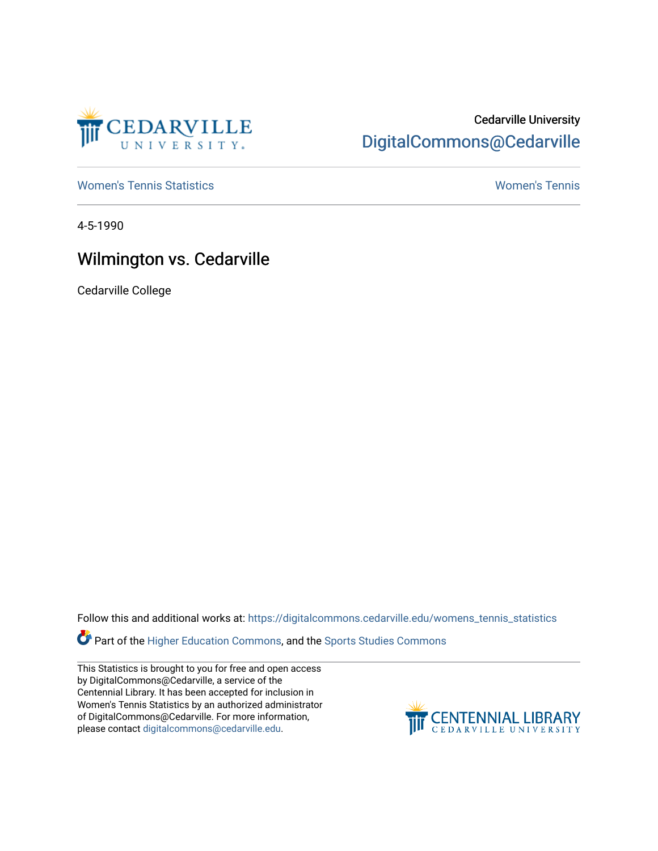

## Cedarville University [DigitalCommons@Cedarville](https://digitalcommons.cedarville.edu/)

[Women's Tennis Statistics](https://digitalcommons.cedarville.edu/womens_tennis_statistics) [Women's Tennis](https://digitalcommons.cedarville.edu/womens_tennis) 

4-5-1990

## Wilmington vs. Cedarville

Cedarville College

Follow this and additional works at: [https://digitalcommons.cedarville.edu/womens\\_tennis\\_statistics](https://digitalcommons.cedarville.edu/womens_tennis_statistics?utm_source=digitalcommons.cedarville.edu%2Fwomens_tennis_statistics%2F120&utm_medium=PDF&utm_campaign=PDFCoverPages) 

**Part of the [Higher Education Commons,](http://network.bepress.com/hgg/discipline/1245?utm_source=digitalcommons.cedarville.edu%2Fwomens_tennis_statistics%2F120&utm_medium=PDF&utm_campaign=PDFCoverPages) and the Sports Studies Commons** 

This Statistics is brought to you for free and open access by DigitalCommons@Cedarville, a service of the Centennial Library. It has been accepted for inclusion in Women's Tennis Statistics by an authorized administrator of DigitalCommons@Cedarville. For more information, please contact [digitalcommons@cedarville.edu](mailto:digitalcommons@cedarville.edu).